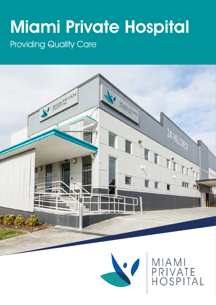# Miami Private Hospital Providing Quality Care





MIAMI<br>PRIVATE<br>HOSPITAL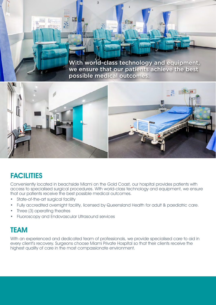With world-class technology and equipment, we ensure that our patients achieve the best possible medical outcomes.



#### **FACILITIES**

Conveniently located in beachside Miami on the Gold Coast, our hospital provides patients with access to specialised surgical procedures. With world-class technology and equipment, we ensure that our patients receive the best possible medical outcomes.

- State-of-the-art surgical facility
- Fully accredited overnight facility, licensed by Queensland Health for adult & paediatric care.
- Three (3) operating theatres
- Fluoroscopy and Endovascular Ultrasound services

#### **TEAM**

With an experienced and dedicated team of professionals, we provide specialised care to aid in every client's recovery. Surgeons choose Miami Private Hospital so that their clients receive the highest quality of care in the most compassionate environment.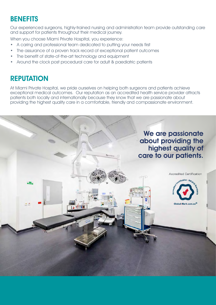# **BENEFITS**

Our experienced surgeons, highly-trained nursing and administration team provide outstanding care and support for patients throughout their medical journey.

When you choose Miami Private Hospital, you experience:

- A caring and professional team dedicated to putting your needs first
- The assurance of a proven track record of exceptional patient outcomes
- The benefit of state-of-the-art technology and equipment
- Around the clock post procedural care for adult & paediatric patients

### **REPUTATION**

At Miami Private Hospital, we pride ourselves on helping both surgeons and patients achieve exceptional medical outcomes. Our reputation as an accredited health service provider attracts patients both locally and internationally because they know that we are passionate about providing the highest quality care in a comfortable, friendly and compassionate environment.